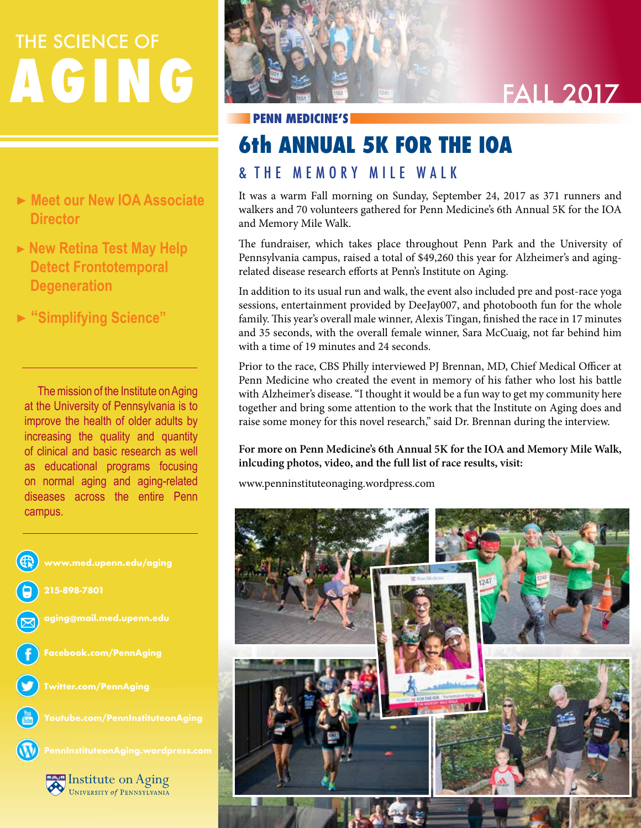# **AGING** THE SCIENCE OF

- ▶ **Meet our New IOA Associate Director**
- ▶ New Retina Test May Help  **Detect Frontotemporal Degeneration**
- ▶ **"Simplifying Science"**

 The mission of the Institute on Aging at the University of Pennsylvania is to improve the health of older adults by increasing the quality and quantity of clinical and basic research as well as educational programs focusing on normal aging and aging-related diseases across the entire Penn campus.





### **PENN MEDICINE'S**

### **6th ANNUAL 5K FOR THE IOA**

### & T H E M E M O R Y M I L E W A L K

It was a warm Fall morning on Sunday, September 24, 2017 as 371 runners and walkers and 70 volunteers gathered for Penn Medicine's 6th Annual 5K for the IOA and Memory Mile Walk.

The fundraiser, which takes place throughout Penn Park and the University of Pennsylvania campus, raised a total of \$49,260 this year for Alzheimer's and agingrelated disease research efforts at Penn's Institute on Aging.

In addition to its usual run and walk, the event also included pre and post-race yoga sessions, entertainment provided by DeeJay007, and photobooth fun for the whole family. This year's overall male winner, Alexis Tingan, finished the race in 17 minutes and 35 seconds, with the overall female winner, Sara McCuaig, not far behind him with a time of 19 minutes and 24 seconds.

Prior to the race, CBS Philly interviewed PJ Brennan, MD, Chief Medical Officer at Penn Medicine who created the event in memory of his father who lost his battle with Alzheimer's disease. "I thought it would be a fun way to get my community here together and bring some attention to the work that the Institute on Aging does and raise some money for this novel research," said Dr. Brennan during the interview.

**For more on Penn Medicine's 6th Annual 5K for the IOA and Memory Mile Walk, inlcuding photos, video, and the full list of race results, visit:**

www.penninstituteonaging.wordpress.com

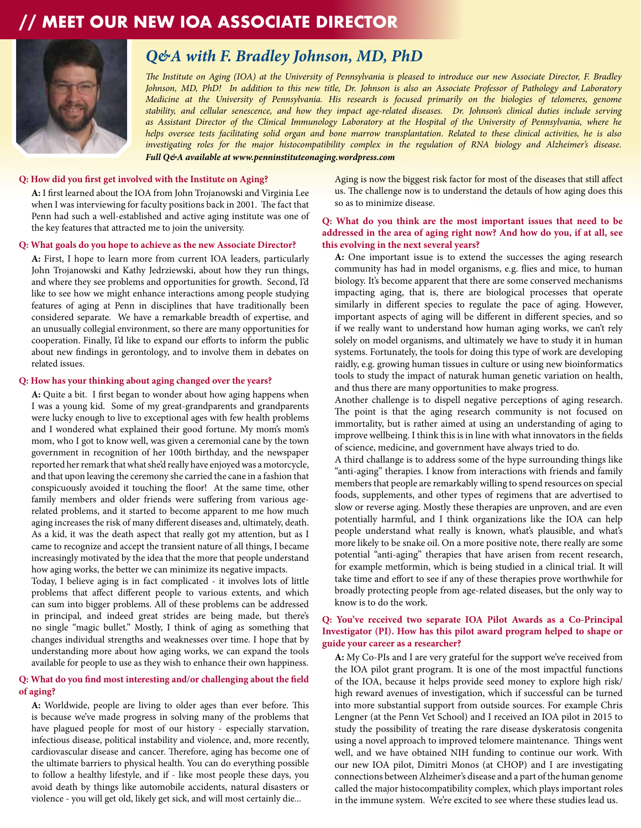### **// MEET OUR NEW IOA ASSOCIATE DIRECTOR**



### *Q&A with F. Bradley Johnson, MD, PhD*

*The Institute on Aging (IOA) at the University of Pennsylvania is pleased to introduce our new Associate Director, F. Bradley Johnson, MD, PhD! In addition to this new title, Dr. Johnson is also an Associate Professor of Pathology and Laboratory Medicine at the University of Pennsylvania. His research is focused primarily on the biologies of telomeres, genome stability, and cellular senescence, and how they impact age-related diseases. Dr. Johnson's clinical duties include serving as Assistant Director of the Clinical Immunology Laboratory at the Hospital of the University of Pennsylvania, where he helps oversee tests facilitating solid organ and bone marrow transplantation. Related to these clinical activities, he is also investigating roles for the major histocompatibility complex in the regulation of RNA biology and Alzheimer's disease. Full Q&A available at www.penninstituteonaging.wordpress.com* 

### **Q: How did you first get involved with the Institute on Aging?**

**A:** I first learned about the IOA from John Trojanowski and Virginia Lee when I was interviewing for faculty positions back in 2001. The fact that Penn had such a well-established and active aging institute was one of the key features that attracted me to join the university.

### **Q: What goals do you hope to achieve as the new Associate Director?**

**A:** First, I hope to learn more from current IOA leaders, particularly John Trojanowski and Kathy Jedrziewski, about how they run things, and where they see problems and opportunities for growth. Second, I'd like to see how we might enhance interactions among people studying features of aging at Penn in disciplines that have traditionally been considered separate. We have a remarkable breadth of expertise, and an unusually collegial environment, so there are many opportunities for cooperation. Finally, I'd like to expand our efforts to inform the public about new findings in gerontology, and to involve them in debates on related issues.

### **Q: How has your thinking about aging changed over the years?**

**A:** Quite a bit. I first began to wonder about how aging happens when I was a young kid. Some of my great-grandparents and grandparents were lucky enough to live to exceptional ages with few health problems and I wondered what explained their good fortune. My mom's mom's mom, who I got to know well, was given a ceremonial cane by the town government in recognition of her 100th birthday, and the newspaper reported her remark that what she'd really have enjoyed was a motorcycle, and that upon leaving the ceremony she carried the cane in a fashion that conspicuously avoided it touching the floor! At the same time, other family members and older friends were suffering from various agerelated problems, and it started to become apparent to me how much aging increases the risk of many different diseases and, ultimately, death. As a kid, it was the death aspect that really got my attention, but as I came to recognize and accept the transient nature of all things, I became increasingly motivated by the idea that the more that people understand how aging works, the better we can minimize its negative impacts.

Today, I believe aging is in fact complicated - it involves lots of little problems that affect different people to various extents, and which can sum into bigger problems. All of these problems can be addressed in principal, and indeed great strides are being made, but there's no single "magic bullet." Mostly, I think of aging as something that changes individual strengths and weaknesses over time. I hope that by understanding more about how aging works, we can expand the tools available for people to use as they wish to enhance their own happiness.

### **Q: What do you find most interesting and/or challenging about the field of aging?**

**A:** Worldwide, people are living to older ages than ever before. This is because we've made progress in solving many of the problems that have plagued people for most of our history - especially starvation, infectious disease, political instability and violence, and, more recently, cardiovascular disease and cancer. Therefore, aging has become one of the ultimate barriers to physical health. You can do everything possible to follow a healthy lifestyle, and if - like most people these days, you avoid death by things like automobile accidents, natural disasters or violence - you will get old, likely get sick, and will most certainly die...

Aging is now the biggest risk factor for most of the diseases that still affect us. The challenge now is to understand the detauls of how aging does this so as to minimize disease.

### **Q: What do you think are the most important issues that need to be addressed in the area of aging right now? And how do you, if at all, see this evolving in the next several years?**

**A:** One important issue is to extend the successes the aging research community has had in model organisms, e.g. flies and mice, to human biology. It's become apparent that there are some conserved mechanisms impacting aging, that is, there are biological processes that operate similarly in different species to regulate the pace of aging. However, important aspects of aging will be different in different species, and so if we really want to understand how human aging works, we can't rely solely on model organisms, and ultimately we have to study it in human systems. Fortunately, the tools for doing this type of work are developing raidly, e.g. growing human tissues in culture or using new bioinformatics tools to study the impact of naturak human genetic variation on health, and thus there are many opportunities to make progress.

Another challenge is to dispell negative perceptions of aging research. The point is that the aging research community is not focused on immortality, but is rather aimed at using an understanding of aging to improve wellbeing. I think this is in line with what innovators in the fields of science, medicine, and government have always tried to do.

A third challange is to address some of the hype surrounding things like "anti-aging" therapies. I know from interactions with friends and family members that people are remarkably willing to spend resources on special foods, supplements, and other types of regimens that are advertised to slow or reverse aging. Mostly these therapies are unproven, and are even potentially harmful, and I think organizations like the IOA can help people understand what really is known, what's plausible, and what's more likely to be snake oil. On a more positive note, there really are some potential "anti-aging" therapies that have arisen from recent research, for example metformin, which is being studied in a clinical trial. It will take time and effort to see if any of these therapies prove worthwhile for broadly protecting people from age-related diseases, but the only way to know is to do the work.

### **Q: You've received two separate IOA Pilot Awards as a Co-Principal Investigator (PI). How has this pilot award program helped to shape or guide your career as a researcher?**

**A:** My Co-PIs and I are very grateful for the support we've received from the IOA pilot grant program. It is one of the most impactful functions of the IOA, because it helps provide seed money to explore high risk/ high reward avenues of investigation, which if successful can be turned into more substantial support from outside sources. For example Chris Lengner (at the Penn Vet School) and I received an IOA pilot in 2015 to study the possibility of treating the rare disease dyskeratosis congenita using a novel approach to improved telomere maintenance. Things went well, and we have obtained NIH funding to continue our work. With our new IOA pilot, Dimitri Monos (at CHOP) and I are investigating connections between Alzheimer's disease and a part of the human genome called the major histocompatibility complex, which plays important roles in the immune system. We're excited to see where these studies lead us.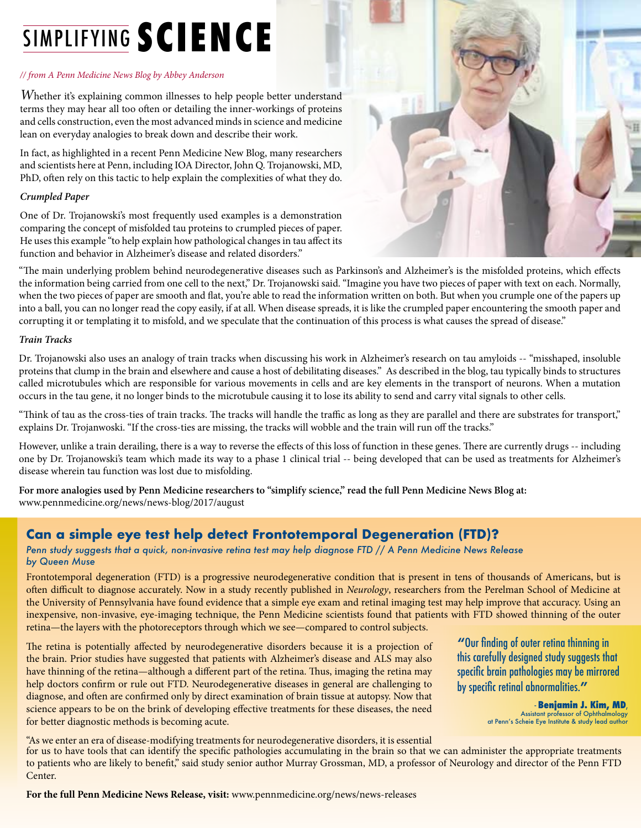## SIMPLIFYING **SCIENCE**

### *// from A Penn Medicine News Blog by Abbey Anderson*

*Whether it's explaining common illnesses to help people better understand* terms they may hear all too often or detailing the inner-workings of proteins and cells construction, even the most advanced minds in science and medicine lean on everyday analogies to break down and describe their work.

In fact, as highlighted in a recent Penn Medicine New Blog, many researchers and scientists here at Penn, including IOA Director, John Q. Trojanowski, MD, PhD, often rely on this tactic to help explain the complexities of what they do.

### *Crumpled Paper*

One of Dr. Trojanowski's most frequently used examples is a demonstration comparing the concept of misfolded tau proteins to crumpled pieces of paper. He uses this example "to help explain how pathological changes in tau affect its function and behavior in Alzheimer's disease and related disorders."



"The main underlying problem behind neurodegenerative diseases such as Parkinson's and Alzheimer's is the misfolded proteins, which effects the information being carried from one cell to the next," Dr. Trojanowski said. "Imagine you have two pieces of paper with text on each. Normally, when the two pieces of paper are smooth and flat, you're able to read the information written on both. But when you crumple one of the papers up into a ball, you can no longer read the copy easily, if at all. When disease spreads, it is like the crumpled paper encountering the smooth paper and corrupting it or templating it to misfold, and we speculate that the continuation of this process is what causes the spread of disease."

### *Train Tracks*

Dr. Trojanowski also uses an analogy of train tracks when discussing his work in Alzheimer's research on tau amyloids -- "misshaped, insoluble proteins that clump in the brain and elsewhere and cause a host of debilitating diseases." As described in the blog, tau typically binds to structures called microtubules which are responsible for various movements in cells and are key elements in the transport of neurons. When a mutation occurs in the tau gene, it no longer binds to the microtubule causing it to lose its ability to send and carry vital signals to other cells.

"Think of tau as the cross-ties of train tracks. The tracks will handle the traffic as long as they are parallel and there are substrates for transport," explains Dr. Trojanwoski. "If the cross-ties are missing, the tracks will wobble and the train will run off the tracks."

However, unlike a train derailing, there is a way to reverse the effects of this loss of function in these genes. There are currently drugs -- including one by Dr. Trojanowski's team which made its way to a phase 1 clinical trial -- being developed that can be used as treatments for Alzheimer's disease wherein tau function was lost due to misfolding.

**For more analogies used by Penn Medicine researchers to "simplify science," read the full Penn Medicine News Blog at:** www.pennmedicine.org/news/news-blog/2017/august

### **Can a simple eye test help detect Frontotemporal Degeneration (FTD)?**

*Penn study suggests that a quick, non-invasive retina test may help diagnose FTD // A Penn Medicine News Release by Queen Muse*

Frontotemporal degeneration (FTD) is a progressive neurodegenerative condition that is present in tens of thousands of Americans, but is often difficult to diagnose accurately. Now in a study recently published in *Neurology*, researchers from the Perelman School of Medicine at the University of Pennsylvania have found evidence that a simple eye exam and retinal imaging test may help improve that accuracy. Using an inexpensive, non-invasive, eye-imaging technique, the Penn Medicine scientists found that patients with FTD showed thinning of the outer retina—the layers with the photoreceptors through which we see—compared to control subjects.

The retina is potentially affected by neurodegenerative disorders because it is a projection of the brain. Prior studies have suggested that patients with Alzheimer's disease and ALS may also have thinning of the retina—although a different part of the retina. Thus, imaging the retina may help doctors confirm or rule out FTD. Neurodegenerative diseases in general are challenging to diagnose, and often are confirmed only by direct examination of brain tissue at autopsy. Now that science appears to be on the brink of developing effective treatments for these diseases, the need for better diagnostic methods is becoming acute.

**"**Our finding of outer retina thinning in this carefully designed study suggests that specific brain pathologies may be mirrored by specific retinal abnormalities.**"**

> - **Benjamin J. Kim, MD**, Assistant professor of Ophthalmology at Penn's Scheie Eye Institute & study lead author

"As we enter an era of disease-modifying treatments for neurodegenerative disorders, it is essential

for us to have tools that can identify the specific pathologies accumulating in the brain so that we can administer the appropriate treatments to patients who are likely to benefit," said study senior author Murray Grossman, MD, a professor of Neurology and director of the Penn FTD Center.